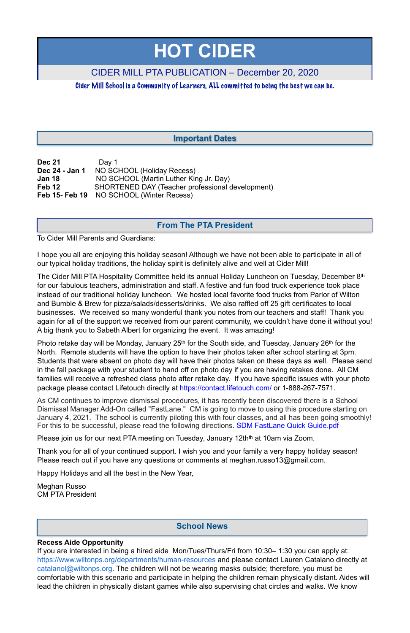| <b>Dec 21</b>  | Day 1                                            |
|----------------|--------------------------------------------------|
| Dec 24 - Jan 1 | NO SCHOOL (Holiday Recess)                       |
| <b>Jan 18</b>  | NO SCHOOL (Martin Luther King Jr. Day)           |
| Feb 12         | SHORTENED DAY (Teacher professional development) |
| Feb 15- Feb 19 | NO SCHOOL (Winter Recess)                        |

To Cider Mill Parents and Guardians:

I hope you all are enjoying this holiday season! Although we have not been able to participate in all of our typical holiday traditions, the holiday spirit is definitely alive and well at Cider Mill!

The Cider Mill PTA Hospitality Committee held its annual Holiday Luncheon on Tuesday, December 8th for our fabulous teachers, administration and staff. A festive and fun food truck experience took place instead of our traditional holiday luncheon. We hosted local favorite food trucks from Parlor of Wilton and Bumble & Brew for pizza/salads/desserts/drinks. We also raffled off 25 gift certificates to local businesses. We received so many wonderful thank you notes from our teachers and staff! Thank you again for all of the support we received from our parent community, we couldn't have done it without you! A big thank you to Sabeth Albert for organizing the event. It was amazing!

Photo retake day will be Monday, January 25<sup>th</sup> for the South side, and Tuesday, January 26<sup>th</sup> for the North. Remote students will have the option to have their photos taken after school starting at 3pm. Students that were absent on photo day will have their photos taken on these days as well. Please send in the fall package with your student to hand off on photo day if you are having retakes done. All CM families will receive a refreshed class photo after retake day. If you have specific issues with your photo package please contact Lifetouch directly at <https://contact.lifetouch.com/>or 1-888-267-7571.

As CM continues to improve dismissal procedures, it has recently been discovered there is a School Dismissal Manager Add-On called "FastLane." CM is going to move to using this procedure starting on January 4, 2021. The school is currently piloting this with four classes, and all has been going smoothly! For this to be successful, please read the following directions. **SDM FastLane Quick Guide.pdf** 

Please join us for our next PTA meeting on Tuesday, January 12th<sup>th</sup> at 10am via Zoom.

Thank you for all of your continued support. I wish you and your family a very happy holiday season! Please reach out if you have any questions or comments at meghan.russo13@gmail.com.

Happy Holidays and all the best in the New Year,

Meghan Russo CM PTA President

#### **Recess Aide Opportunity**

If you are interested in being a hired aide Mon/Tues/Thurs/Fri from 10:30– 1:30 you can apply at: [https://www.wiltonps.org/departments/human-resources](https://www.wiltonps.org/departments/human-resources?fbclid=IwAR3TUVxBrbxg-pc-qi8vNYs1B7cVNLy0eo0eWHb_Ec4rm5JfvXLo5GGe2Fw) and please contact Lauren Catalano directly at [catalanol@wiltonps.org.](mailto:catalanol@wiltonps.org) The children will not be wearing masks outside; therefore, you must be comfortable with this scenario and participate in helping the children remain physically distant. Aides will lead the children in physically distant games while also supervising chat circles and walks. We know

# **HOT CIDER**

## CIDER MILL PTA PUBLICATION – December 20, 2020

Cider Mill School is a Community of Learners, ALL committed to being the best we can be.

## **From The PTA President**

## **Important Dates**

## **School News**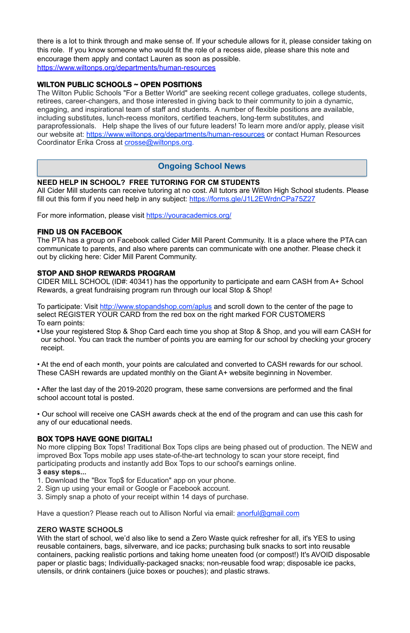there is a lot to think through and make sense of. If your schedule allows for it, please consider taking on this role. If you know someone who would fit the role of a recess aide, please share this note and encourage them apply and contact Lauren as soon as possible. [https://www.wiltonps.org/departments/human-resources](https://l.facebook.com/l.php?u=https%3A%2F%2Fwww.wiltonps.org%2Fdepartments%2Fhuman-resources%3Ffbclid%3DIwAR2A4FCNJ2PRz6saqACZxGQewdpueeLs8yA01V7fJf-h4rxef6eBr3va0mQ&h=AT35quouDc-gAkkL_UQZmnM6yuafnMfhRsXSVey1KWxqd-e2cb2LoyUJ2VwWnQTEbY3ydh0AehTco63atFeeYRDqaAEjKZALXaQWsjpzoxjEVgeZXuhaEeQvwLm9hFsBVg&__tn__=-UK-R&c%5B0%5D=AT0RJcBQtfzwnFAYG4OyjJLHDj5Xyg0m6ppVhAlM-uw6hp2WgexbkZlp8xaNC1zm391-PoLqVwu_j8QX5vFV0bL5BOnqnI8rQdoCjG7PAyX4mdjKXUjjyjBxJoy9lfKU2doW8JBqcQdUdp5UxjY2qEZANUroc9XCFxLgZopfCMfHMCHSySNYkY8jJU89yACoTalNR99W43fLeV2QLg)

The Wilton Public Schools "For a Better World" are seeking recent college graduates, college students, retirees, career-changers, and those interested in giving back to their community to join a dynamic, engaging, and inspirational team of staff and students. A number of flexible positions are available, including substitutes, lunch-recess monitors, certified teachers, long-term substitutes, and paraprofessionals. Help shape the lives of our future leaders! To learn more and/or apply, please visit our website at: <https://www.wiltonps.org/departments/human-resources> or contact Human Resources Coordinator Erika Cross at [crosse@wiltonps.org.](mailto:crosse@wiltonps.org)

#### **WILTON PUBLIC SCHOOLS ~ OPEN POSITIONS**

All Cider Mill students can receive tutoring at no cost. All tutors are Wilton High School students. Please fill out this form if you need help in any subject:<https://forms.gle/J1L2EWrdnCPa75Z27>

To participate: Visit<http://www.stopandshop.com/aplus> and scroll down to the center of the page to select REGISTER YOUR CARD from the red box on the right marked FOR CUSTOMERS To earn points:

#### **NEED HELP IN SCHOOL? FREE TUTORING FOR CM STUDENTS**

For more information, please visit <https://youracademics.org/>

#### **FIND US ON FACEBOOK**

The PTA has a group on Facebook called Cider Mill Parent Community. It is a place where the PTA can communicate to parents, and also where parents can communicate with one another. Please check it out by clicking here: [Cider Mill Parent Community.](https://www.facebook.com/groups/1168962513117647/)

#### **STOP AND SHOP REWARDS PROGRAM**

CIDER MILL SCHOOL (ID#: 40341) has the opportunity to participate and earn CASH from A+ School Rewards, a great fundraising program run through our local Stop & Shop!

**•** Use your registered Stop & Shop Card each time you shop at Stop & Shop, and you will earn CASH for our school. You can track the number of points you are earning for our school by checking your grocery receipt.

• At the end of each month, your points are calculated and converted to CASH rewards for our school. These CASH rewards are updated monthly on the Giant A+ website beginning in November.

• After the last day of the 2019-2020 program, these same conversions are performed and the final school account total is posted.

• Our school will receive one CASH awards check at the end of the program and can use this cash for any of our educational needs.

#### **BOX TOPS HAVE GONE DIGITAL!**

No more clipping Box Tops! Traditional Box Tops clips are being phased out of production. The NEW and improved Box Tops mobile app uses state-of-the-art technology to scan your store receipt, find participating products and instantly add Box Tops to our school's earnings online. **3 easy steps...** 

1. Download the "Box Top\$ for Education" app on your phone.

2. Sign up using your email or Google or Facebook account.

3. Simply snap a photo of your receipt within 14 days of purchase.

Have a question? Please reach out to Allison Norful via email: [anorful@gmail.com](mailto:anorful@gmail.com)

#### **ZERO WASTE SCHOOLS**

With the start of school, we'd also like to send a Zero Waste quick refresher for all, it's YES to using reusable containers, bags, silverware, and ice packs; purchasing bulk snacks to sort into reusable containers, packing realistic portions and taking home uneaten food (or compost!) It's AVOID disposable paper or plastic bags; Individually-packaged snacks; non-reusable food wrap; disposable ice packs, utensils, or drink containers (juice boxes or pouches); and plastic straws.

## **Ongoing School News**